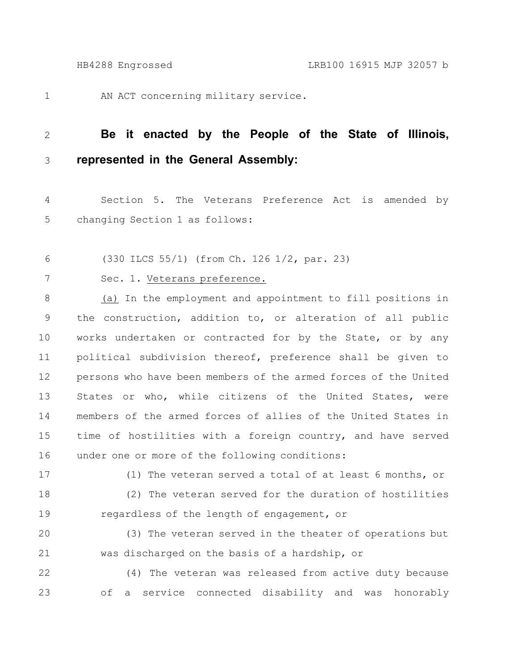1

AN ACT concerning military service.

## **Be it enacted by the People of the State of Illinois, represented in the General Assembly:** 2 3

Section 5. The Veterans Preference Act is amended by changing Section 1 as follows: 4 5

(330 ILCS 55/1) (from Ch. 126 1/2, par. 23) 6

7

## Sec. 1. Veterans preference.

(a) In the employment and appointment to fill positions in the construction, addition to, or alteration of all public works undertaken or contracted for by the State, or by any political subdivision thereof, preference shall be given to persons who have been members of the armed forces of the United States or who, while citizens of the United States, were members of the armed forces of allies of the United States in time of hostilities with a foreign country, and have served under one or more of the following conditions: 8 9 10 11 12 13 14 15 16

17

(1) The veteran served a total of at least 6 months, or

(2) The veteran served for the duration of hostilities regardless of the length of engagement, or 18 19

(3) The veteran served in the theater of operations but was discharged on the basis of a hardship, or 20 21

(4) The veteran was released from active duty because of a service connected disability and was honorably 22 23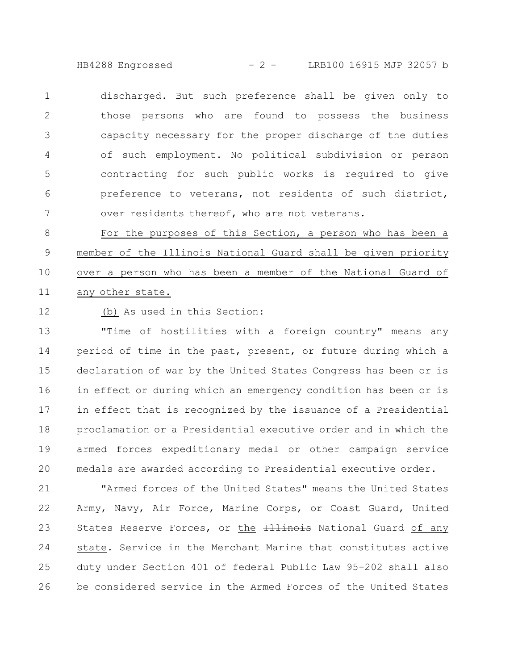HB4288 Engrossed - 2 - LRB100 16915 MJP 32057 b

discharged. But such preference shall be given only to those persons who are found to possess the business capacity necessary for the proper discharge of the duties of such employment. No political subdivision or person contracting for such public works is required to give preference to veterans, not residents of such district, over residents thereof, who are not veterans. 1 2 3 4 5 6 7

For the purposes of this Section, a person who has been a member of the Illinois National Guard shall be given priority over a person who has been a member of the National Guard of any other state. 8 9 10 11

(b) As used in this Section: 12

"Time of hostilities with a foreign country" means any period of time in the past, present, or future during which a declaration of war by the United States Congress has been or is in effect or during which an emergency condition has been or is in effect that is recognized by the issuance of a Presidential proclamation or a Presidential executive order and in which the armed forces expeditionary medal or other campaign service medals are awarded according to Presidential executive order. 13 14 15 16 17 18 19 20

"Armed forces of the United States" means the United States Army, Navy, Air Force, Marine Corps, or Coast Guard, United States Reserve Forces, or the *Hilinois* National Guard of any state. Service in the Merchant Marine that constitutes active duty under Section 401 of federal Public Law 95-202 shall also be considered service in the Armed Forces of the United States 21 22 23 24 25 26